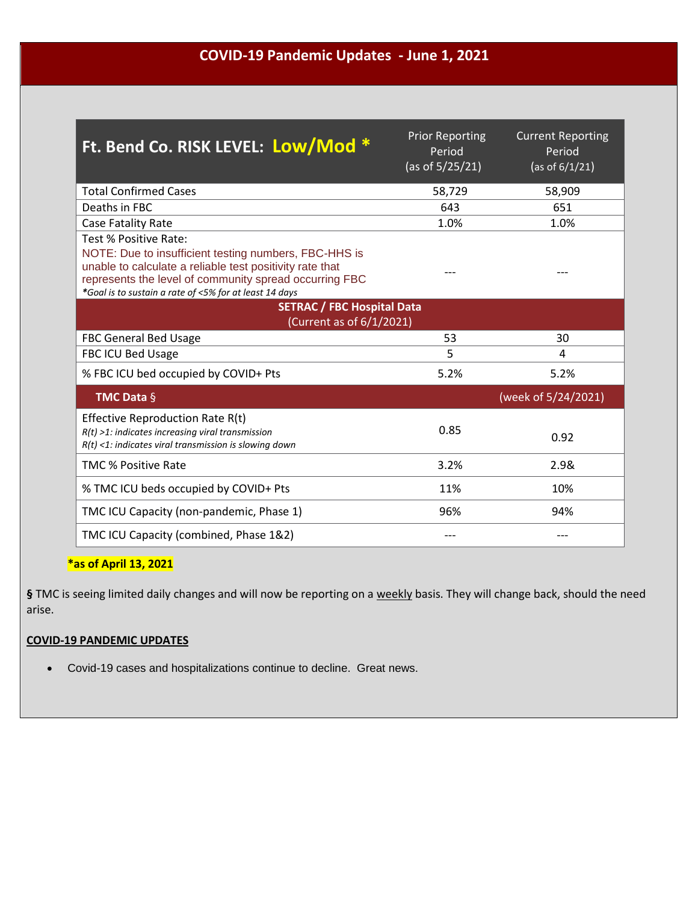### **COVID-19 Pandemic Updates - June 1, 2021**

| Ft. Bend Co. RISK LEVEL: Low/Mod *                                                                                                                                                                                                                             | <b>Prior Reporting</b><br>Period<br>(as of $5/25/21$ ) | <b>Current Reporting</b><br>Period<br>(as of $6/1/21$ ) |
|----------------------------------------------------------------------------------------------------------------------------------------------------------------------------------------------------------------------------------------------------------------|--------------------------------------------------------|---------------------------------------------------------|
| <b>Total Confirmed Cases</b>                                                                                                                                                                                                                                   | 58,729                                                 | 58,909                                                  |
| Deaths in FBC                                                                                                                                                                                                                                                  | 643                                                    | 651                                                     |
| Case Fatality Rate                                                                                                                                                                                                                                             | 1.0%                                                   | 1.0%                                                    |
| Test % Positive Rate:<br>NOTE: Due to insufficient testing numbers, FBC-HHS is<br>unable to calculate a reliable test positivity rate that<br>represents the level of community spread occurring FBC<br>*Goal is to sustain a rate of <5% for at least 14 days |                                                        |                                                         |
| <b>SETRAC / FBC Hospital Data</b><br>(Current as of 6/1/2021)                                                                                                                                                                                                  |                                                        |                                                         |
| <b>FBC General Bed Usage</b>                                                                                                                                                                                                                                   | 53                                                     | 30                                                      |
| FBC ICU Bed Usage                                                                                                                                                                                                                                              | 5                                                      | 4                                                       |
| % FBC ICU bed occupied by COVID+ Pts                                                                                                                                                                                                                           | 5.2%                                                   | 5.2%                                                    |
| <b>TMC Data <math>\S</math></b>                                                                                                                                                                                                                                |                                                        | (week of 5/24/2021)                                     |
| Effective Reproduction Rate R(t)<br>$R(t)$ >1: indicates increasing viral transmission<br>$R(t)$ <1: indicates viral transmission is slowing down                                                                                                              | 0.85                                                   | 0.92                                                    |
| <b>TMC % Positive Rate</b>                                                                                                                                                                                                                                     | 3.2%                                                   | 2.9&                                                    |
| % TMC ICU beds occupied by COVID+ Pts                                                                                                                                                                                                                          | 11%                                                    | 10%                                                     |
| TMC ICU Capacity (non-pandemic, Phase 1)                                                                                                                                                                                                                       | 96%                                                    | 94%                                                     |
| TMC ICU Capacity (combined, Phase 1&2)                                                                                                                                                                                                                         |                                                        |                                                         |

#### **\*as of April 13, 2021**

**§** TMC is seeing limited daily changes and will now be reporting on a weekly basis. They will change back, should the need arise.

#### **COVID-19 PANDEMIC UPDATES**

Covid-19 cases and hospitalizations continue to decline. Great news.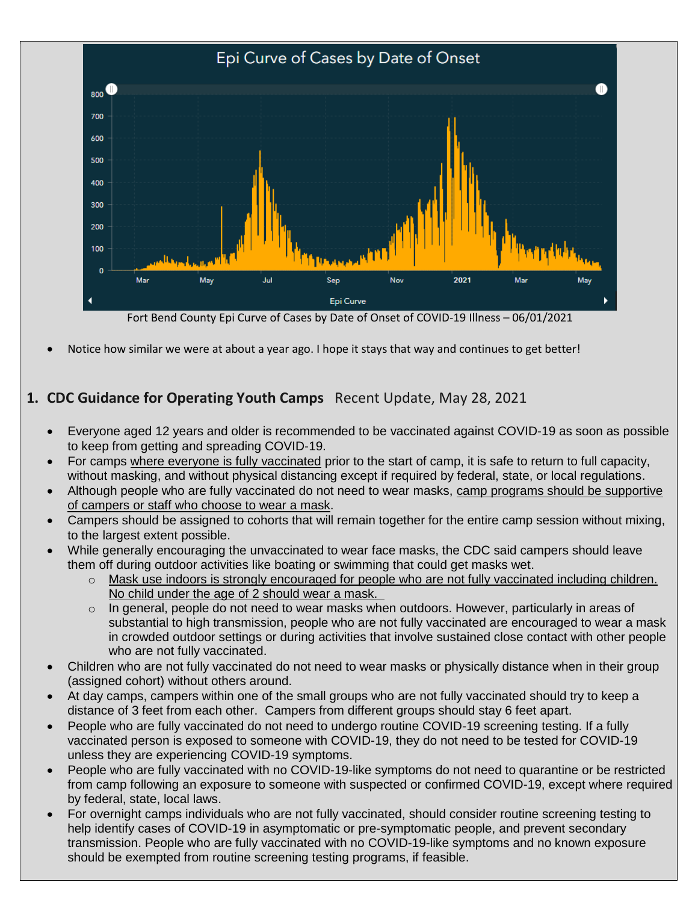

Fort Bend County Epi Curve of Cases by Date of Onset of COVID-19 Illness – 06/01/2021

Notice how similar we were at about a year ago. I hope it stays that way and continues to get better!

# **1. CDC Guidance for Operating Youth Camps** Recent Update, May 28, 2021

- Everyone aged 12 years and older is recommended to be vaccinated against COVID-19 as soon as possible to keep from getting and spreading COVID-19.
- For camps where everyone is fully vaccinated prior to the start of camp, it is safe to return to full capacity, without masking, and without physical distancing except if required by federal, state, or local regulations.
- Although people who are fully vaccinated do not need to wear masks, camp programs should be supportive of campers or staff who choose to wear a mask.
- Campers should be assigned to cohorts that will remain together for the entire camp session without mixing, to the largest extent possible.
- While generally encouraging the unvaccinated to wear face masks, the CDC said campers should leave them off during outdoor activities like boating or swimming that could get masks wet.
	- $\circ$  Mask use indoors is strongly encouraged for people who are not fully vaccinated including children. No child under the age of 2 should wear a mask.
	- $\circ$  In general, people do not need to wear masks when outdoors. However, particularly in areas of substantial to high transmission, people who are not fully vaccinated are encouraged to wear a mask in crowded outdoor settings or during activities that involve sustained close contact with other people who are not fully vaccinated.
- Children who are not fully vaccinated do not need to wear masks or physically distance when in their group (assigned cohort) without others around.
- At day camps, campers within one of the small groups who are not fully vaccinated should try to keep a distance of 3 feet from each other. Campers from different groups should stay 6 feet apart.
- People who are fully vaccinated do not need to undergo routine COVID-19 screening testing. If a fully vaccinated person is exposed to someone with COVID-19, they do not need to be tested for COVID-19 unless they are experiencing COVID-19 symptoms.
- People who are fully vaccinated with no COVID-19-like symptoms do not need to quarantine or be restricted from camp following an exposure to someone with suspected or confirmed COVID-19, except where required by federal, state, local laws.
- For overnight camps individuals who are not fully vaccinated, should consider routine screening testing to help identify cases of COVID-19 in asymptomatic or pre-symptomatic people, and prevent secondary transmission. People who are fully vaccinated with no COVID-19-like symptoms and no known exposure should be exempted from routine screening testing programs, if feasible.